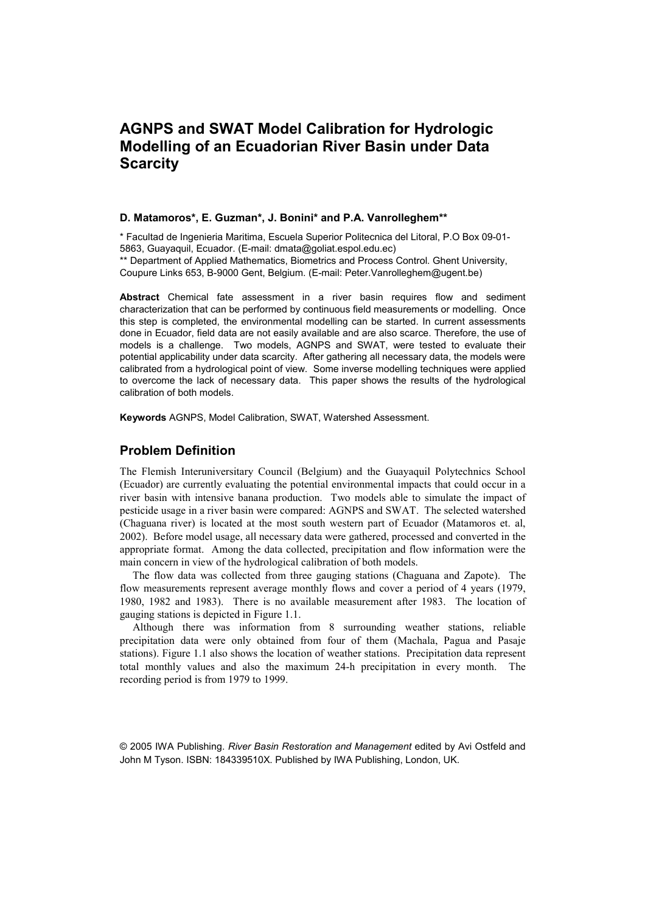# **AGNPS and SWAT Model Calibration for Hydrologic Modelling of an Ecuadorian River Basin under Data Scarcity**

#### **D. Matamoros\*, E. Guzman\*, J. Bonini\* and P.A. Vanrolleghem\*\***

\* Facultad de Ingenieria Maritima, Escuela Superior Politecnica del Litoral, P.O Box 09-01- 5863, Guayaquil, Ecuador. (E-mail: [dmata@goliat.espol.edu.ec\)](mailto:dmata@goliat.espol.edu.ec) 

\*\* Department of Applied Mathematics, Biometrics and Process Control. Ghent University, Coupure Links 653, B-9000 Gent, Belgium. (E-mail: [Peter.Vanrolleghem@ugent.be\)](mailto:Peter.Vanrolleghem@ugent.be)

**Abstract** Chemical fate assessment in a river basin requires flow and sediment characterization that can be performed by continuous field measurements or modelling. Once this step is completed, the environmental modelling can be started. In current assessments done in Ecuador, field data are not easily available and are also scarce. Therefore, the use of models is a challenge. Two models, AGNPS and SWAT, were tested to evaluate their potential applicability under data scarcity. After gathering all necessary data, the models were calibrated from a hydrological point of view. Some inverse modelling techniques were applied to overcome the lack of necessary data. This paper shows the results of the hydrological calibration of both models.

**Keywords** AGNPS, Model Calibration, SWAT, Watershed Assessment.

## **Problem Definition**

The Flemish Interuniversitary Council (Belgium) and the Guayaquil Polytechnics School (Ecuador) are currently evaluating the potential environmental impacts that could occur in a river basin with intensive banana production. Two models able to simulate the impact of pesticide usage in a river basin were compared: AGNPS and SWAT. The selected watershed (Chaguana river) is located at the most south western part of Ecuador (Matamoros et. al, 2002). Before model usage, all necessary data were gathered, processed and converted in the appropriate format. Among the data collected, precipitation and flow information were the main concern in view of the hydrological calibration of both models.

The flow data was collected from three gauging stations (Chaguana and Zapote). The flow measurements represent average monthly flows and cover a period of 4 years (1979, 1980, 1982 and 1983). There is no available measurement after 1983. The location of gauging stations is depicted in Figure 1.1.

Although there was information from 8 surrounding weather stations, reliable precipitation data were only obtained from four of them (Machala, Pagua and Pasaje stations). Figure 1.1 also shows the location of weather stations. Precipitation data represent total monthly values and also the maximum 24-h precipitation in every month. The recording period is from 1979 to 1999.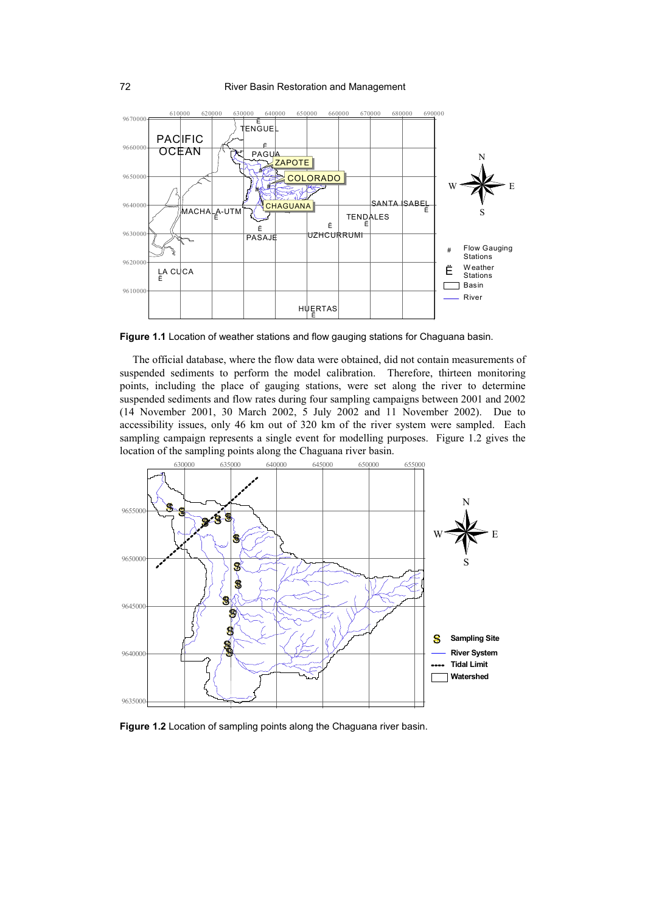

**Figure 1.1** Location of weather stations and flow gauging stations for Chaguana basin.

The official database, where the flow data were obtained, did not contain measurements of suspended sediments to perform the model calibration. Therefore, thirteen monitoring points, including the place of gauging stations, were set along the river to determine suspended sediments and flow rates during four sampling campaigns between 2001 and 2002 (14 November 2001, 30 March 2002, 5 July 2002 and 11 November 2002). Due to accessibility issues, only 46 km out of 320 km of the river system were sampled. Each sampling campaign represents a single event for modelling purposes. Figure 1.2 gives the location of the sampling points along the Chaguana river basin.



**Figure 1.2** Location of sampling points along the Chaguana river basin.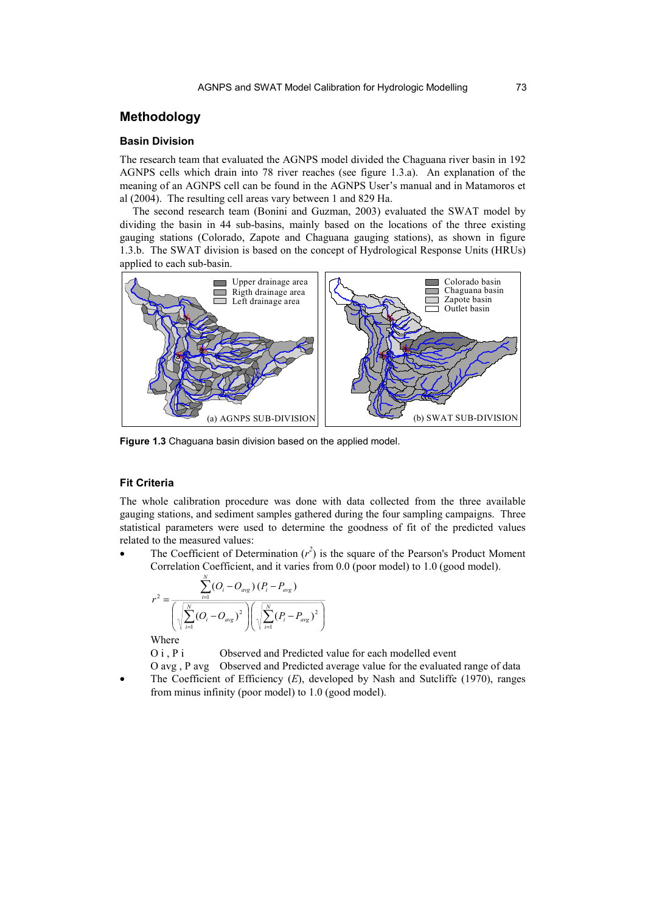# **Methodology**

### **Basin Division**

The research team that evaluated the AGNPS model divided the Chaguana river basin in 192 AGNPS cells which drain into 78 river reaches (see figure 1.3.a). An explanation of the meaning of an AGNPS cell can be found in the AGNPS User's manual and in Matamoros et al (2004). The resulting cell areas vary between 1 and 829 Ha.

The second research team (Bonini and Guzman, 2003) evaluated the SWAT model by dividing the basin in 44 sub-basins, mainly based on the locations of the three existing gauging stations (Colorado, Zapote and Chaguana gauging stations), as shown in figure 1.3.b. The SWAT division is based on the concept of Hydrological Response Units (HRUs) applied to each sub-basin.



**Figure 1.3** Chaguana basin division based on the applied model.

#### **Fit Criteria**

The whole calibration procedure was done with data collected from the three available gauging stations, and sediment samples gathered during the four sampling campaigns. Three statistical parameters were used to determine the goodness of fit of the predicted values related to the measured values:

• The Coefficient of Determination  $(r^2)$  is the square of the Pearson's Product Moment Correlation Coefficient, and it varies from 0.0 (poor model) to 1.0 (good model).

$$
r^{2} = \frac{\sum_{i=1}^{N} (O_{i} - O_{avg}) (P_{i} - P_{avg})}{\left(\sqrt{\sum_{i=1}^{N} (O_{i} - O_{avg})^{2}}\right) \left(\sqrt{\sum_{i=1}^{N} (P_{i} - P_{avg})^{2}}\right)}
$$

Where

O i, P i Observed and Predicted value for each modelled event

- O avg , P avg Observed and Predicted average value for the evaluated range of data
- The Coefficient of Efficiency (*E*), developed by Nash and Sutcliffe (1970), ranges from minus infinity (poor model) to 1.0 (good model).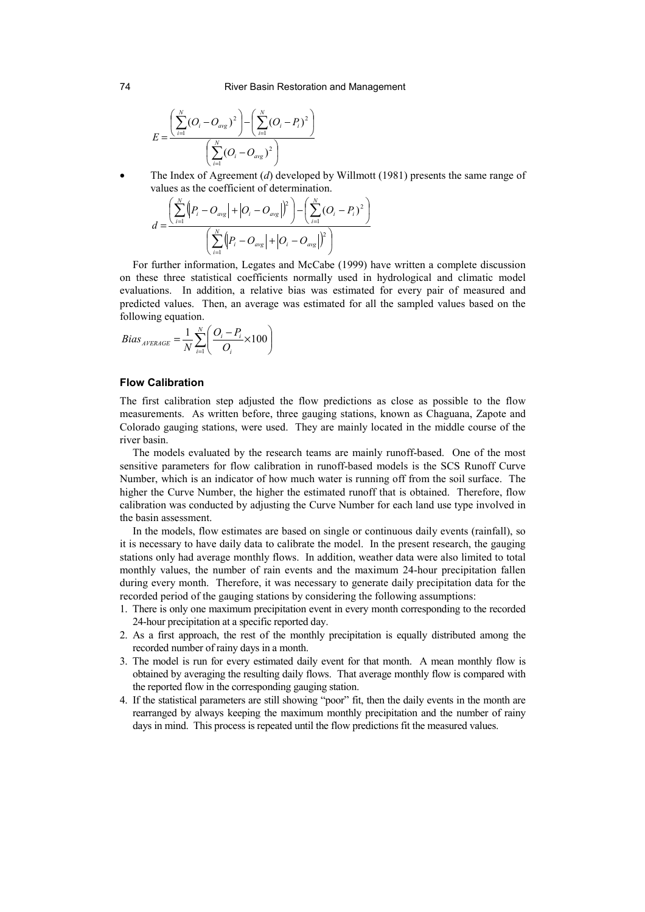$$
E = \frac{\left(\sum_{i=1}^{N} (O_i - O_{avg})^2\right) - \left(\sum_{i=1}^{N} (O_i - P_i)^2\right)}{\left(\sum_{i=1}^{N} (O_i - O_{avg})^2\right)}
$$

• The Index of Agreement (*d*) developed by Willmott (1981) presents the same range of values as the coefficient of determination.

$$
d = \frac{\left(\sum_{i=1}^{N} (P_i - O_{avg}| + |O_i - O_{avg}|)^2\right) - \left(\sum_{i=1}^{N} (O_i - P_i)^2\right)}{\left(\sum_{i=1}^{N} (P_i - O_{avg}| + |O_i - O_{avg}|)^2\right)}
$$

For further information, Legates and McCabe (1999) have written a complete discussion on these three statistical coefficients normally used in hydrological and climatic model evaluations. In addition, a relative bias was estimated for every pair of measured and predicted values. Then, an average was estimated for all the sampled values based on the following equation.

$$
Bias_{AVERAGE} = \frac{1}{N} \sum_{i=1}^{N} \left( \frac{O_i - P_i}{O_i} \times 100 \right)
$$

### **Flow Calibration**

The first calibration step adjusted the flow predictions as close as possible to the flow measurements. As written before, three gauging stations, known as Chaguana, Zapote and Colorado gauging stations, were used. They are mainly located in the middle course of the river basin.

The models evaluated by the research teams are mainly runoff-based. One of the most sensitive parameters for flow calibration in runoff-based models is the SCS Runoff Curve Number, which is an indicator of how much water is running off from the soil surface. The higher the Curve Number, the higher the estimated runoff that is obtained. Therefore, flow calibration was conducted by adjusting the Curve Number for each land use type involved in the basin assessment.

In the models, flow estimates are based on single or continuous daily events (rainfall), so it is necessary to have daily data to calibrate the model. In the present research, the gauging stations only had average monthly flows. In addition, weather data were also limited to total monthly values, the number of rain events and the maximum 24-hour precipitation fallen during every month. Therefore, it was necessary to generate daily precipitation data for the recorded period of the gauging stations by considering the following assumptions:

- 1. There is only one maximum precipitation event in every month corresponding to the recorded 24-hour precipitation at a specific reported day.
- 2. As a first approach, the rest of the monthly precipitation is equally distributed among the recorded number of rainy days in a month.
- 3. The model is run for every estimated daily event for that month. A mean monthly flow is obtained by averaging the resulting daily flows. That average monthly flow is compared with the reported flow in the corresponding gauging station.
- 4. If the statistical parameters are still showing "poor" fit, then the daily events in the month are rearranged by always keeping the maximum monthly precipitation and the number of rainy days in mind. This process is repeated until the flow predictions fit the measured values.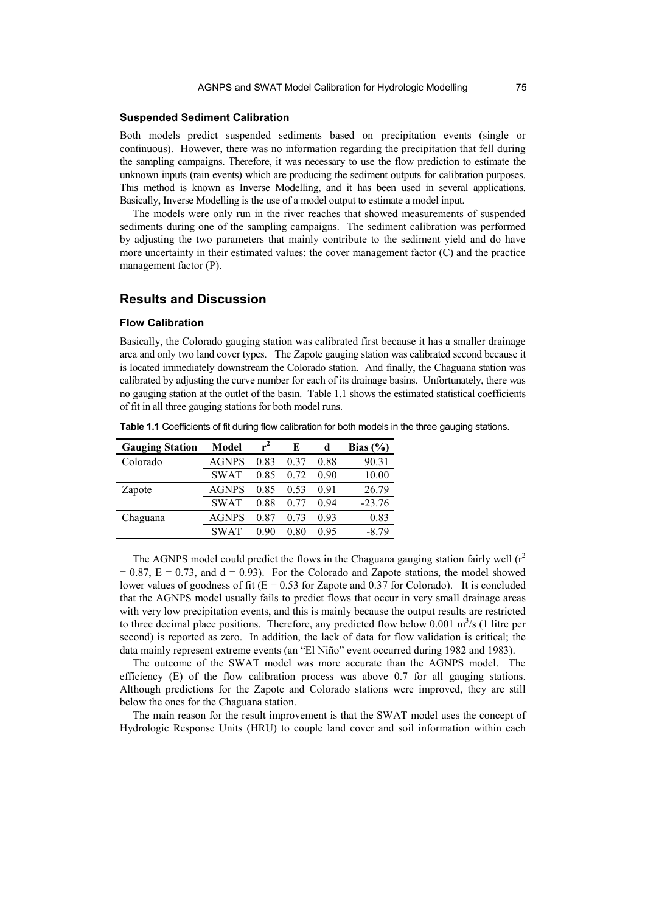#### **Suspended Sediment Calibration**

Both models predict suspended sediments based on precipitation events (single or continuous). However, there was no information regarding the precipitation that fell during the sampling campaigns. Therefore, it was necessary to use the flow prediction to estimate the unknown inputs (rain events) which are producing the sediment outputs for calibration purposes. This method is known as Inverse Modelling, and it has been used in several applications. Basically, Inverse Modelling is the use of a model output to estimate a model input.

The models were only run in the river reaches that showed measurements of suspended sediments during one of the sampling campaigns. The sediment calibration was performed by adjusting the two parameters that mainly contribute to the sediment yield and do have more uncertainty in their estimated values: the cover management factor (C) and the practice management factor (P).

## **Results and Discussion**

#### **Flow Calibration**

Basically, the Colorado gauging station was calibrated first because it has a smaller drainage area and only two land cover types. The Zapote gauging station was calibrated second because it is located immediately downstream the Colorado station. And finally, the Chaguana station was calibrated by adjusting the curve number for each of its drainage basins. Unfortunately, there was no gauging station at the outlet of the basin. Table 1.1 shows the estimated statistical coefficients of fit in all three gauging stations for both model runs.

| <b>Gauging Station</b> | Model        | $r^2$ | E     | d    | Bias $(\% )$ |
|------------------------|--------------|-------|-------|------|--------------|
| Colorado               | <b>AGNPS</b> | 0.83  | 0.37  | 0.88 | 90.31        |
|                        | <b>SWAT</b>  | 0.85  | 0.72  | 0.90 | 10.00        |
| Zapote                 | <b>AGNPS</b> | 0.85  | 0.53  | 0.91 | 26.79        |
|                        | <b>SWAT</b>  | 0.88  | () 77 | 0.94 | $-23.76$     |
| Chaguana               | AGNPS        | 0.87  | 0.73  | 0.93 | 0.83         |
|                        | <b>SWAT</b>  | ი 90  | 0 80  | 0.95 | -8.79        |

**Table 1.1** Coefficients of fit during flow calibration for both models in the three gauging stations.

The AGNPS model could predict the flows in the Chaguana gauging station fairly well  $(r^2)$  $= 0.87$ ,  $E = 0.73$ , and  $d = 0.93$ ). For the Colorado and Zapote stations, the model showed lower values of goodness of fit ( $E = 0.53$  for Zapote and 0.37 for Colorado). It is concluded that the AGNPS model usually fails to predict flows that occur in very small drainage areas with very low precipitation events, and this is mainly because the output results are restricted to three decimal place positions. Therefore, any predicted flow below 0.001  $\text{m}^3\text{/s}$  (1 litre per second) is reported as zero. In addition, the lack of data for flow validation is critical; the data mainly represent extreme events (an "El Niño" event occurred during 1982 and 1983).

The outcome of the SWAT model was more accurate than the AGNPS model. The efficiency (E) of the flow calibration process was above 0.7 for all gauging stations. Although predictions for the Zapote and Colorado stations were improved, they are still below the ones for the Chaguana station.

The main reason for the result improvement is that the SWAT model uses the concept of Hydrologic Response Units (HRU) to couple land cover and soil information within each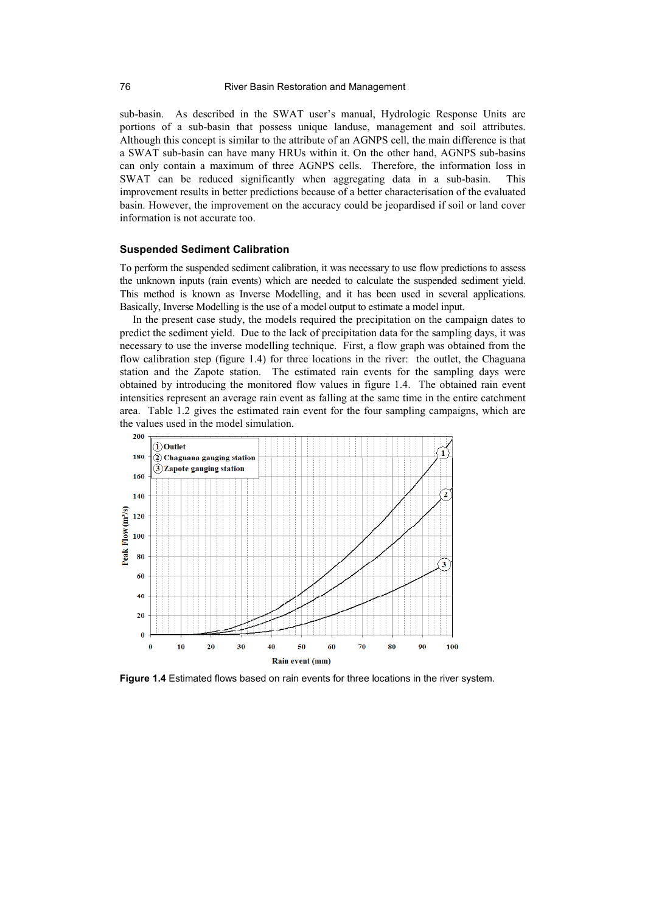sub-basin. As described in the SWAT user's manual, Hydrologic Response Units are portions of a sub-basin that possess unique landuse, management and soil attributes. Although this concept is similar to the attribute of an AGNPS cell, the main difference is that a SWAT sub-basin can have many HRUs within it. On the other hand, AGNPS sub-basins can only contain a maximum of three AGNPS cells. Therefore, the information loss in SWAT can be reduced significantly when aggregating data in a sub-basin. This improvement results in better predictions because of a better characterisation of the evaluated basin. However, the improvement on the accuracy could be jeopardised if soil or land cover information is not accurate too.

#### **Suspended Sediment Calibration**

To perform the suspended sediment calibration, it was necessary to use flow predictions to assess the unknown inputs (rain events) which are needed to calculate the suspended sediment yield. This method is known as Inverse Modelling, and it has been used in several applications. Basically, Inverse Modelling is the use of a model output to estimate a model input.

In the present case study, the models required the precipitation on the campaign dates to predict the sediment yield. Due to the lack of precipitation data for the sampling days, it was necessary to use the inverse modelling technique. First, a flow graph was obtained from the flow calibration step (figure 1.4) for three locations in the river: the outlet, the Chaguana station and the Zapote station. The estimated rain events for the sampling days were obtained by introducing the monitored flow values in figure 1.4. The obtained rain event intensities represent an average rain event as falling at the same time in the entire catchment area. Table 1.2 gives the estimated rain event for the four sampling campaigns, which are the values used in the model simulation.



**Figure 1.4** Estimated flows based on rain events for three locations in the river system.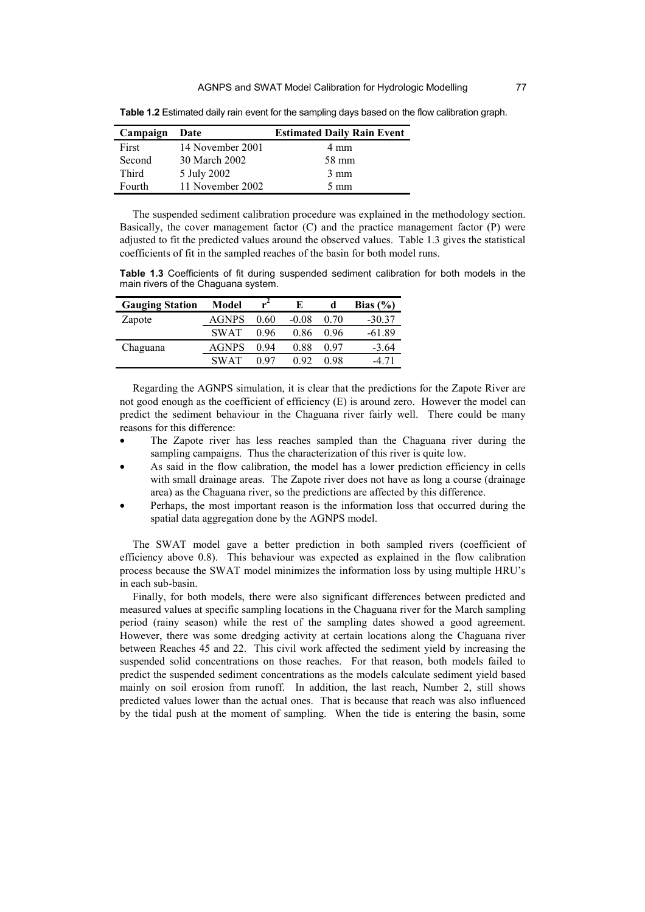| Campaign | Date             | <b>Estimated Daily Rain Event</b> |
|----------|------------------|-----------------------------------|
| First    | 14 November 2001 | 4 mm                              |
| Second   | 30 March 2002    | 58 mm                             |
| Third    | 5 July 2002      | $3 \text{ mm}$                    |
| Fourth   | 11 November 2002 | $5 \text{ mm}$                    |

**Table 1.2** Estimated daily rain event for the sampling days based on the flow calibration graph.

The suspended sediment calibration procedure was explained in the methodology section. Basically, the cover management factor (C) and the practice management factor (P) were adjusted to fit the predicted values around the observed values. Table 1.3 gives the statistical coefficients of fit in the sampled reaches of the basin for both model runs.

**Table 1.3** Coefficients of fit during suspended sediment calibration for both models in the main rivers of the Chaguana system.

| <b>Gauging Station</b> | Model        | $r^2$ | E       |      | Bias $(\% )$ |
|------------------------|--------------|-------|---------|------|--------------|
| Zapote                 | <b>AGNPS</b> | 0.60  | $-0.08$ | 0.70 | $-30.37$     |
|                        | <b>SWAT</b>  | 0.96  | 0.86    | 0.96 | $-61.89$     |
| Chaguana               | <b>AGNPS</b> | 0.94  | 0.88    | 0.97 | $-3.64$      |
|                        | <b>SWAT</b>  | በ 97  | 0.92    | 0.98 | -4 71        |

Regarding the AGNPS simulation, it is clear that the predictions for the Zapote River are not good enough as the coefficient of efficiency (E) is around zero. However the model can predict the sediment behaviour in the Chaguana river fairly well. There could be many reasons for this difference:

- The Zapote river has less reaches sampled than the Chaguana river during the sampling campaigns. Thus the characterization of this river is quite low.
- As said in the flow calibration, the model has a lower prediction efficiency in cells with small drainage areas. The Zapote river does not have as long a course (drainage area) as the Chaguana river, so the predictions are affected by this difference.
- Perhaps, the most important reason is the information loss that occurred during the spatial data aggregation done by the AGNPS model.

The SWAT model gave a better prediction in both sampled rivers (coefficient of efficiency above 0.8). This behaviour was expected as explained in the flow calibration process because the SWAT model minimizes the information loss by using multiple HRU's in each sub-basin.

Finally, for both models, there were also significant differences between predicted and measured values at specific sampling locations in the Chaguana river for the March sampling period (rainy season) while the rest of the sampling dates showed a good agreement. However, there was some dredging activity at certain locations along the Chaguana river between Reaches 45 and 22. This civil work affected the sediment yield by increasing the suspended solid concentrations on those reaches. For that reason, both models failed to predict the suspended sediment concentrations as the models calculate sediment yield based mainly on soil erosion from runoff. In addition, the last reach, Number 2, still shows predicted values lower than the actual ones. That is because that reach was also influenced by the tidal push at the moment of sampling. When the tide is entering the basin, some